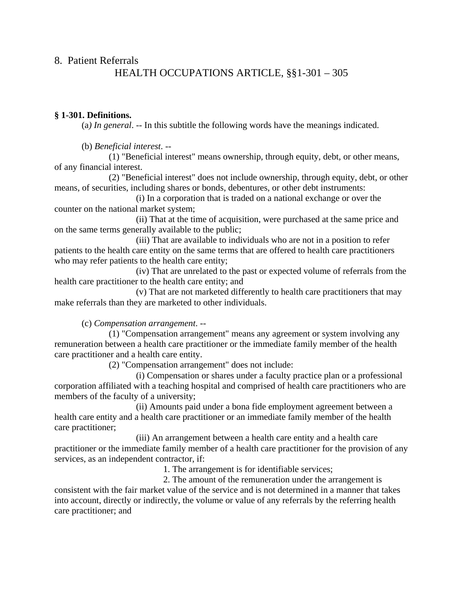# 8. Patient Referrals HEALTH OCCUPATIONS ARTICLE, §§1-301 – 305

### **§ 1-301. Definitions.**

(a*) In general*. -- In this subtitle the following words have the meanings indicated.

(b) *Beneficial interest*. --

 (1) "Beneficial interest" means ownership, through equity, debt, or other means, of any financial interest.

 (2) "Beneficial interest" does not include ownership, through equity, debt, or other means, of securities, including shares or bonds, debentures, or other debt instruments:

 (i) In a corporation that is traded on a national exchange or over the counter on the national market system;

 (ii) That at the time of acquisition, were purchased at the same price and on the same terms generally available to the public;

 (iii) That are available to individuals who are not in a position to refer patients to the health care entity on the same terms that are offered to health care practitioners who may refer patients to the health care entity;

 (iv) That are unrelated to the past or expected volume of referrals from the health care practitioner to the health care entity; and

 (v) That are not marketed differently to health care practitioners that may make referrals than they are marketed to other individuals.

(c) *Compensation arrangement*. --

 (1) "Compensation arrangement" means any agreement or system involving any remuneration between a health care practitioner or the immediate family member of the health care practitioner and a health care entity.

(2) "Compensation arrangement" does not include:

 (i) Compensation or shares under a faculty practice plan or a professional corporation affiliated with a teaching hospital and comprised of health care practitioners who are members of the faculty of a university;

 (ii) Amounts paid under a bona fide employment agreement between a health care entity and a health care practitioner or an immediate family member of the health care practitioner;

 (iii) An arrangement between a health care entity and a health care practitioner or the immediate family member of a health care practitioner for the provision of any services, as an independent contractor, if:

1. The arrangement is for identifiable services;

 2. The amount of the remuneration under the arrangement is consistent with the fair market value of the service and is not determined in a manner that takes into account, directly or indirectly, the volume or value of any referrals by the referring health care practitioner; and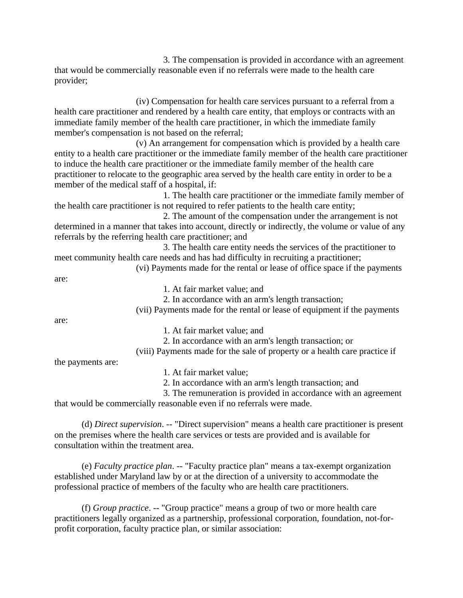3. The compensation is provided in accordance with an agreement that would be commercially reasonable even if no referrals were made to the health care provider;

 (iv) Compensation for health care services pursuant to a referral from a health care practitioner and rendered by a health care entity, that employs or contracts with an immediate family member of the health care practitioner, in which the immediate family member's compensation is not based on the referral;

 (v) An arrangement for compensation which is provided by a health care entity to a health care practitioner or the immediate family member of the health care practitioner to induce the health care practitioner or the immediate family member of the health care practitioner to relocate to the geographic area served by the health care entity in order to be a member of the medical staff of a hospital, if:

 1. The health care practitioner or the immediate family member of the health care practitioner is not required to refer patients to the health care entity;

 2. The amount of the compensation under the arrangement is not determined in a manner that takes into account, directly or indirectly, the volume or value of any referrals by the referring health care practitioner; and

 3. The health care entity needs the services of the practitioner to meet community health care needs and has had difficulty in recruiting a practitioner;

(vi) Payments made for the rental or lease of office space if the payments

are:

1. At fair market value; and

2. In accordance with an arm's length transaction;

(vii) Payments made for the rental or lease of equipment if the payments

are:

1. At fair market value; and

2. In accordance with an arm's length transaction; or

(viii) Payments made for the sale of property or a health care practice if

the payments are:

1. At fair market value;

2. In accordance with an arm's length transaction; and

 3. The remuneration is provided in accordance with an agreement that would be commercially reasonable even if no referrals were made.

 (d) *Direct supervision*. -- "Direct supervision" means a health care practitioner is present on the premises where the health care services or tests are provided and is available for consultation within the treatment area.

 (e) *Faculty practice plan*. -- "Faculty practice plan" means a tax-exempt organization established under Maryland law by or at the direction of a university to accommodate the professional practice of members of the faculty who are health care practitioners.

 (f) *Group practice*. -- "Group practice" means a group of two or more health care practitioners legally organized as a partnership, professional corporation, foundation, not-forprofit corporation, faculty practice plan, or similar association: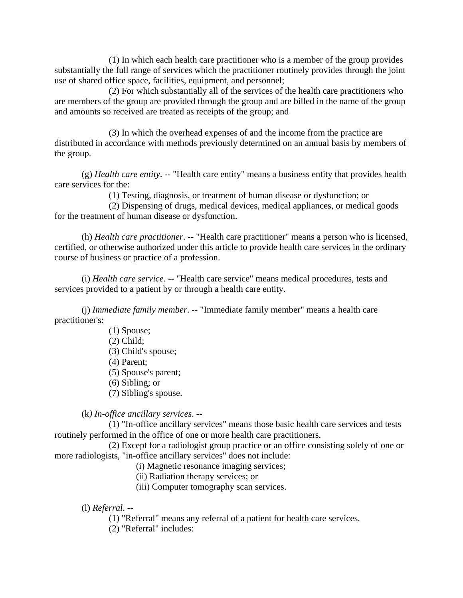(1) In which each health care practitioner who is a member of the group provides substantially the full range of services which the practitioner routinely provides through the joint use of shared office space, facilities, equipment, and personnel;

 (2) For which substantially all of the services of the health care practitioners who are members of the group are provided through the group and are billed in the name of the group and amounts so received are treated as receipts of the group; and

 (3) In which the overhead expenses of and the income from the practice are distributed in accordance with methods previously determined on an annual basis by members of the group.

 (g) *Health care entity*. -- "Health care entity" means a business entity that provides health care services for the:

(1) Testing, diagnosis, or treatment of human disease or dysfunction; or

 (2) Dispensing of drugs, medical devices, medical appliances, or medical goods for the treatment of human disease or dysfunction.

 (h) *Health care practitioner*. -- "Health care practitioner" means a person who is licensed, certified, or otherwise authorized under this article to provide health care services in the ordinary course of business or practice of a profession.

 (i) *Health care service*. -- "Health care service" means medical procedures, tests and services provided to a patient by or through a health care entity.

 (j) *Immediate family member*. -- "Immediate family member" means a health care practitioner's:

> (1) Spouse; (2) Child; (3) Child's spouse; (4) Parent; (5) Spouse's parent; (6) Sibling; or (7) Sibling's spouse.

(k*) In-office ancillary services*. --

 (1) "In-office ancillary services" means those basic health care services and tests routinely performed in the office of one or more health care practitioners.

 (2) Except for a radiologist group practice or an office consisting solely of one or more radiologists, "in-office ancillary services" does not include:

(i) Magnetic resonance imaging services;

(ii) Radiation therapy services; or

(iii) Computer tomography scan services.

(l) *Referral*. --

(1) "Referral" means any referral of a patient for health care services.

(2) "Referral" includes: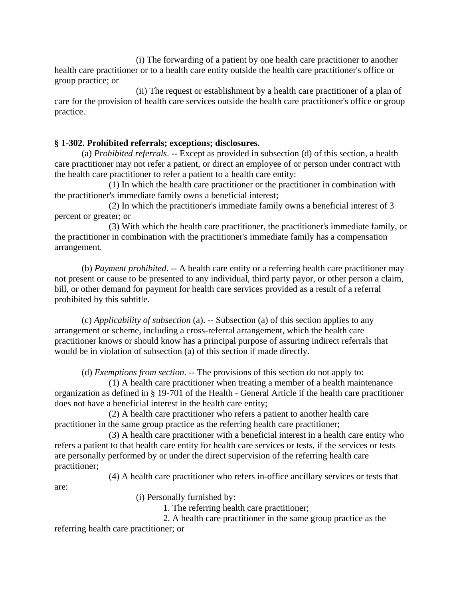(i) The forwarding of a patient by one health care practitioner to another health care practitioner or to a health care entity outside the health care practitioner's office or group practice; or

 (ii) The request or establishment by a health care practitioner of a plan of care for the provision of health care services outside the health care practitioner's office or group practice.

## **§ 1-302. Prohibited referrals; exceptions; disclosures.**

 (a) *Prohibited referrals*. -- Except as provided in subsection (d) of this section, a health care practitioner may not refer a patient, or direct an employee of or person under contract with the health care practitioner to refer a patient to a health care entity:

 (1) In which the health care practitioner or the practitioner in combination with the practitioner's immediate family owns a beneficial interest;

 (2) In which the practitioner's immediate family owns a beneficial interest of 3 percent or greater; or

 (3) With which the health care practitioner, the practitioner's immediate family, or the practitioner in combination with the practitioner's immediate family has a compensation arrangement.

 (b) *Payment prohibited*. -- A health care entity or a referring health care practitioner may not present or cause to be presented to any individual, third party payor, or other person a claim, bill, or other demand for payment for health care services provided as a result of a referral prohibited by this subtitle.

 (c) *Applicability of subsection* (a). -- Subsection (a) of this section applies to any arrangement or scheme, including a cross-referral arrangement, which the health care practitioner knows or should know has a principal purpose of assuring indirect referrals that would be in violation of subsection (a) of this section if made directly.

(d) *Exemptions from section*. -- The provisions of this section do not apply to:

 (1) A health care practitioner when treating a member of a health maintenance organization as defined in § 19-701 of the Health - General Article if the health care practitioner does not have a beneficial interest in the health care entity;

 (2) A health care practitioner who refers a patient to another health care practitioner in the same group practice as the referring health care practitioner;

 (3) A health care practitioner with a beneficial interest in a health care entity who refers a patient to that health care entity for health care services or tests, if the services or tests are personally performed by or under the direct supervision of the referring health care practitioner;

(4) A health care practitioner who refers in-office ancillary services or tests that

are:

(i) Personally furnished by:

1. The referring health care practitioner;

2. A health care practitioner in the same group practice as the

referring health care practitioner; or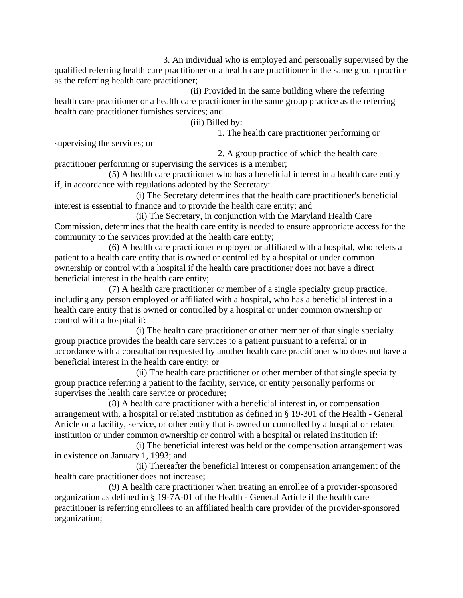3. An individual who is employed and personally supervised by the qualified referring health care practitioner or a health care practitioner in the same group practice as the referring health care practitioner;

 (ii) Provided in the same building where the referring health care practitioner or a health care practitioner in the same group practice as the referring health care practitioner furnishes services; and

(iii) Billed by:

1. The health care practitioner performing or

supervising the services; or

2. A group practice of which the health care

practitioner performing or supervising the services is a member; (5) A health care practitioner who has a beneficial interest in a health care entity if, in accordance with regulations adopted by the Secretary:

 (i) The Secretary determines that the health care practitioner's beneficial interest is essential to finance and to provide the health care entity; and

 (ii) The Secretary, in conjunction with the Maryland Health Care Commission, determines that the health care entity is needed to ensure appropriate access for the community to the services provided at the health care entity;

 (6) A health care practitioner employed or affiliated with a hospital, who refers a patient to a health care entity that is owned or controlled by a hospital or under common ownership or control with a hospital if the health care practitioner does not have a direct beneficial interest in the health care entity;

 (7) A health care practitioner or member of a single specialty group practice, including any person employed or affiliated with a hospital, who has a beneficial interest in a health care entity that is owned or controlled by a hospital or under common ownership or control with a hospital if:

 (i) The health care practitioner or other member of that single specialty group practice provides the health care services to a patient pursuant to a referral or in accordance with a consultation requested by another health care practitioner who does not have a beneficial interest in the health care entity; or

 (ii) The health care practitioner or other member of that single specialty group practice referring a patient to the facility, service, or entity personally performs or supervises the health care service or procedure;

 (8) A health care practitioner with a beneficial interest in, or compensation arrangement with, a hospital or related institution as defined in § 19-301 of the Health - General Article or a facility, service, or other entity that is owned or controlled by a hospital or related institution or under common ownership or control with a hospital or related institution if:

 (i) The beneficial interest was held or the compensation arrangement was in existence on January 1, 1993; and

 (ii) Thereafter the beneficial interest or compensation arrangement of the health care practitioner does not increase;

 (9) A health care practitioner when treating an enrollee of a provider-sponsored organization as defined in § 19-7A-01 of the Health - General Article if the health care practitioner is referring enrollees to an affiliated health care provider of the provider-sponsored organization;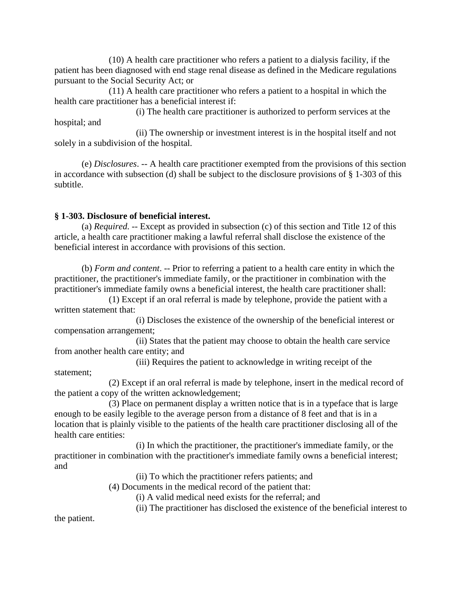(10) A health care practitioner who refers a patient to a dialysis facility, if the patient has been diagnosed with end stage renal disease as defined in the Medicare regulations pursuant to the Social Security Act; or

 (11) A health care practitioner who refers a patient to a hospital in which the health care practitioner has a beneficial interest if:

 (i) The health care practitioner is authorized to perform services at the hospital; and

 (ii) The ownership or investment interest is in the hospital itself and not solely in a subdivision of the hospital.

 (e) *Disclosures*. -- A health care practitioner exempted from the provisions of this section in accordance with subsection (d) shall be subject to the disclosure provisions of § 1-303 of this subtitle.

## **§ 1-303. Disclosure of beneficial interest.**

 (a) *Required*. -- Except as provided in subsection (c) of this section and Title 12 of this article, a health care practitioner making a lawful referral shall disclose the existence of the beneficial interest in accordance with provisions of this section.

 (b) *Form and content*. -- Prior to referring a patient to a health care entity in which the practitioner, the practitioner's immediate family, or the practitioner in combination with the practitioner's immediate family owns a beneficial interest, the health care practitioner shall:

 (1) Except if an oral referral is made by telephone, provide the patient with a written statement that:

 (i) Discloses the existence of the ownership of the beneficial interest or compensation arrangement;

 (ii) States that the patient may choose to obtain the health care service from another health care entity; and

(iii) Requires the patient to acknowledge in writing receipt of the

statement;

 (2) Except if an oral referral is made by telephone, insert in the medical record of the patient a copy of the written acknowledgement;

 (3) Place on permanent display a written notice that is in a typeface that is large enough to be easily legible to the average person from a distance of 8 feet and that is in a location that is plainly visible to the patients of the health care practitioner disclosing all of the health care entities:

 (i) In which the practitioner, the practitioner's immediate family, or the practitioner in combination with the practitioner's immediate family owns a beneficial interest; and

(ii) To which the practitioner refers patients; and

(4) Documents in the medical record of the patient that:

(i) A valid medical need exists for the referral; and

(ii) The practitioner has disclosed the existence of the beneficial interest to

the patient.